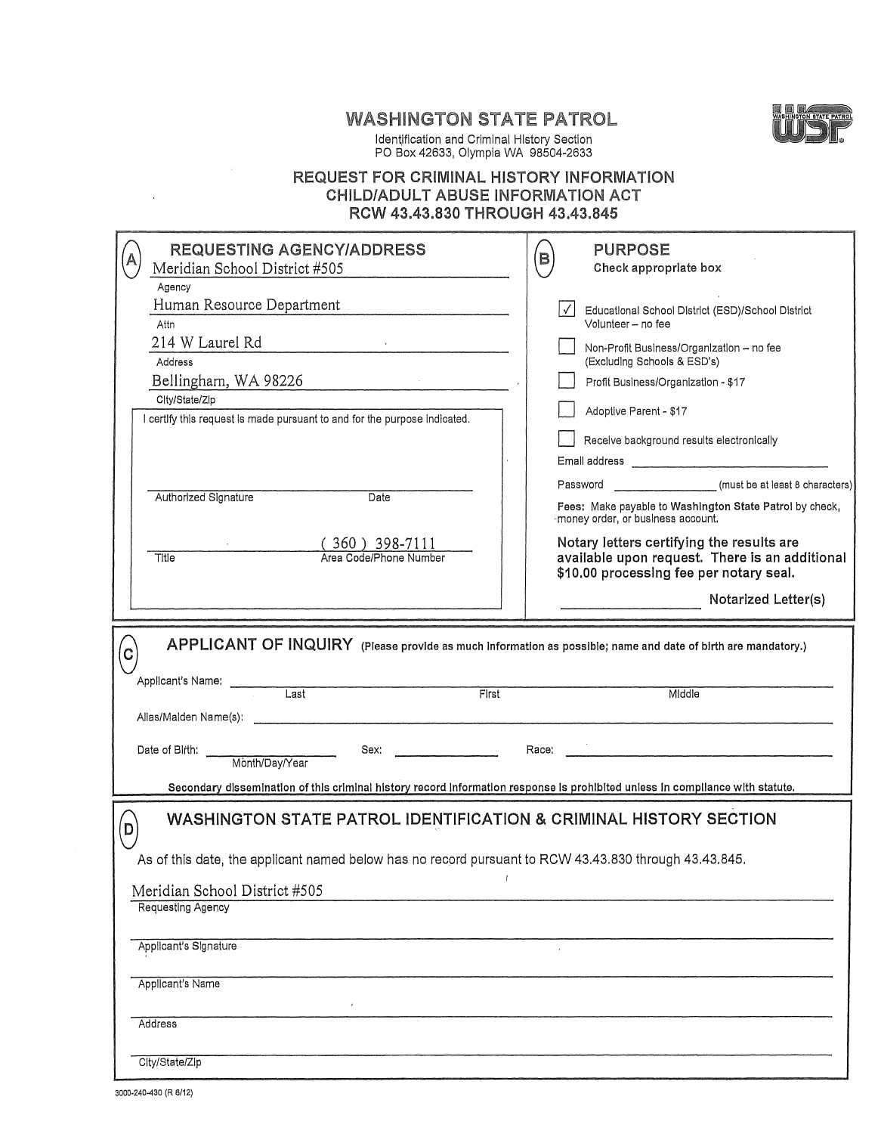## WASHINGTON STATE PATROL



Identification and Criminal History Section PO Box 42633, Olympia WA 98504-2633

### REQUEST FOR CRIMINAL HISTORY INFORMATION CHILD/ADULT ABUSE INFORMATION ACT RCW 43.43.830 THROUGH 43.43.845

| <b>REQUESTING AGENCY/ADDRESS</b>                                                                                              | <b>PURPOSE</b><br>B                                                                          |  |
|-------------------------------------------------------------------------------------------------------------------------------|----------------------------------------------------------------------------------------------|--|
| Meridian School District #505                                                                                                 | Check appropriate box                                                                        |  |
| Agency                                                                                                                        |                                                                                              |  |
| Human Resource Department                                                                                                     | $\checkmark$<br>Educational School District (ESD)/School District                            |  |
| Attn                                                                                                                          | Volunteer - no fee                                                                           |  |
| 214 W Laurel Rd<br>$\frac{1}{2}$                                                                                              | Non-Profit Business/Organization - no fee                                                    |  |
| <b>Address</b>                                                                                                                | (Excluding Schools & ESD's)                                                                  |  |
| Bellingham, WA 98226                                                                                                          | Profit Business/Organization - \$17                                                          |  |
| City/State/Zip                                                                                                                |                                                                                              |  |
| certify this request is made pursuant to and for the purpose indicated.                                                       | Adoptive Parent - \$17                                                                       |  |
|                                                                                                                               | Receive background results electronically                                                    |  |
|                                                                                                                               |                                                                                              |  |
|                                                                                                                               |                                                                                              |  |
| Authorized Signature<br>Date                                                                                                  | Password (must be at least 8 characters)                                                     |  |
|                                                                                                                               | Fees: Make payable to Washington State Patrol by check,<br>money order, or business account. |  |
| $(360)$ 398-7111                                                                                                              | Notary letters certifying the results are                                                    |  |
| Area Code/Phone Number<br>Title                                                                                               | available upon request. There is an additional                                               |  |
|                                                                                                                               | \$10.00 processing fee per notary seal.                                                      |  |
|                                                                                                                               | Notarized Letter(s)                                                                          |  |
|                                                                                                                               |                                                                                              |  |
| APPLICANT OF INQUIRY (Please provide as much information as possible; name and date of birth are mandatory.)<br>C             |                                                                                              |  |
| Applicant's Name:<br>First<br>Last                                                                                            | Middle                                                                                       |  |
|                                                                                                                               |                                                                                              |  |
| Sex:<br>Date of Birth:                                                                                                        | Race:                                                                                        |  |
| Month/Day/Year                                                                                                                |                                                                                              |  |
| Secondary dissemination of this criminal history record information response is prohibited unless in compliance with statute. |                                                                                              |  |
|                                                                                                                               |                                                                                              |  |
| WASHINGTON STATE PATROL IDENTIFICATION & CRIMINAL HISTORY SECTION<br>D                                                        |                                                                                              |  |
| As of this date, the applicant named below has no record pursuant to RCW 43.43.830 through 43.43.845.                         |                                                                                              |  |
| Meridian School District #505                                                                                                 |                                                                                              |  |
|                                                                                                                               |                                                                                              |  |
| Requesting Agency                                                                                                             |                                                                                              |  |
|                                                                                                                               |                                                                                              |  |
|                                                                                                                               |                                                                                              |  |
| Applicant's Signature                                                                                                         |                                                                                              |  |
|                                                                                                                               |                                                                                              |  |
| Applicant's Name                                                                                                              |                                                                                              |  |
|                                                                                                                               |                                                                                              |  |
| Address                                                                                                                       |                                                                                              |  |
| City/State/Zip                                                                                                                |                                                                                              |  |

 $\bar{1}$